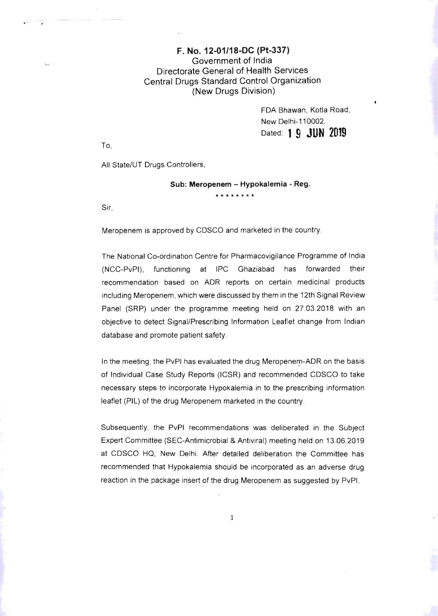## F. No. 12-01/18-DC (Pt-337) Government of India Directorate General of Health Services Central Drugs Standard Control Organization (New Drugs Division)

FDA Bhawan, Kotla Road, New Delhi-110002. Dated: 1**9 JUN 2019** 

To,

 $\mathfrak{z}$ 

All State/UT Drugs Controllers.

Sub: Meropenem - Hypokalemia - Reg.

**'\*\*\*\*\*\*\*\*** 

Sir,

Meropenem is approved by CDSCO and marketed in the country

The National Co-ordination Centre for Pharmacovigilance Programme of India (NCC-PvPI), functioning at IPC Ghaziabad has forwarded their recommendation based on ADR reports on certain medicinal products including Meropenem, which were discussed by them in the 12th Signal Review Panel (SRP) under the programme meeting held on 27.03.2018 with an objective to detect Signal/Prescribing Information Leaflet change from Indian database and promote patient safety.

In the meeting, the PvPI has evaluated the drug Meropenem-ADR on the basis of Individual Case Study Reports (ICSR) and recommended CDSCO to take necessary steps to incorporate Hypokalemia in to the prescribing information leaflet (PIL) of the drug Meropenem marketed in the country.

Subsequently, the PvPI recommendations was deliberated in the Subject Expert Committee (SEC-Antimicrobial & Antiviral) meeting held on 13.06.2019 at CDSCO HQ, New Delhi. After detailed deliberation the Committee has recommended that Hypokalemia should be incorporated as an adverse drug reaction in the package insert of the drug Meropenem as suggested by PvPI.

1